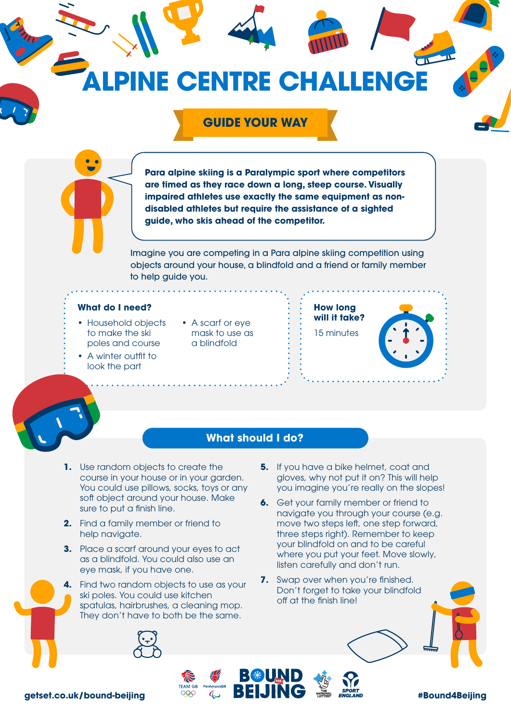## **NE CENTRE CHALLENGE**

## **GUIDE YOUR WAY**

**Para alpine skiing is a Paralympic sport where competitors are timed as they race down a long, steep course. Visually impaired athletes use exactly the same equipment as nondisabled athletes but require the assistance of a sighted guide, who skis ahead of the competitor.** 

Imagine you are competing in a Para alpine skiing competition using objects around your house, a blindfold and a friend or family member to help guide you.

## **What do I need?**

- Household objects to make the ski poles and course
- A winter outfit to look the part
- A scarf or eye mask to use as a blindfold





## **What should I do?**

BBD D

- **1.** Use random objects to create the course in your house or in your garden. You could use pillows, socks, toys or any soft object around your house. Make sure to put a finish line.
- **2.** Find a family member or friend to help navigate.
- **3.** Place a scarf around your eyes to act as a blindfold. You could also use an eye mask, if you have one.
- **4.** Find two random objects to use as your ski poles. You could use kitchen spatulas, hairbrushes, a cleaning mop. They don't have to both be the same.
	-
- **5.** If you have a bike helmet, coat and gloves, why not put it on? This will help you imagine you're really on the slopes!
- **6.** Get your family member or friend to navigate you through your course (e.g. move two steps left, one step forward, three steps right). Remember to keep your blindfold on and to be careful where you put your feet. Move slowly, listen carefully and don't run.
- **7.** Swap over when you're finished. Don't forget to take your blindfold off at the finish line!